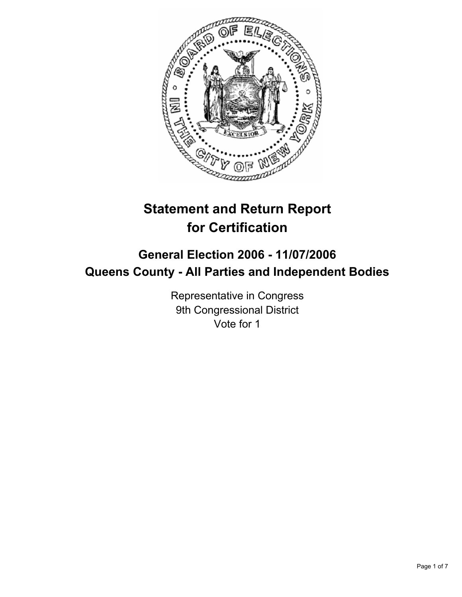

# **Statement and Return Report for Certification**

## **General Election 2006 - 11/07/2006 Queens County - All Parties and Independent Bodies**

Representative in Congress 9th Congressional District Vote for 1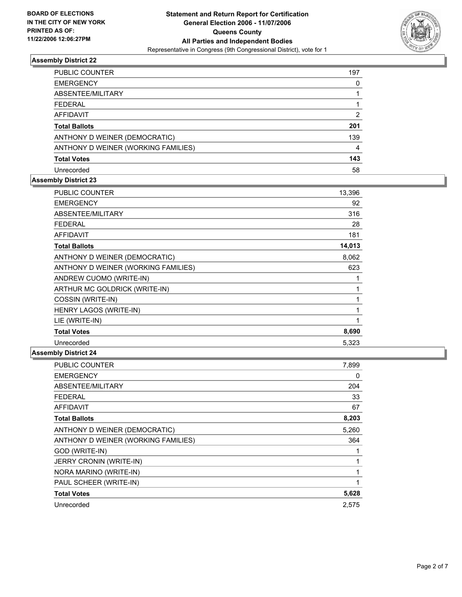

| PUBLIC COUNTER                      | 197 |
|-------------------------------------|-----|
| <b>EMERGENCY</b>                    |     |
| ABSENTEE/MILITARY                   |     |
| <b>FEDERAL</b>                      |     |
| <b>AFFIDAVIT</b>                    | 2   |
| <b>Total Ballots</b>                | 201 |
| ANTHONY D WEINER (DEMOCRATIC)       | 139 |
| ANTHONY D WEINER (WORKING FAMILIES) | 4   |
| <b>Total Votes</b>                  | 143 |
| Unrecorded                          | 58  |

### **Assembly District 23**

| PUBLIC COUNTER                      | 13,396 |  |
|-------------------------------------|--------|--|
| <b>EMERGENCY</b>                    | 92     |  |
| ABSENTEE/MILITARY                   | 316    |  |
| <b>FEDERAL</b>                      | 28     |  |
| <b>AFFIDAVIT</b>                    | 181    |  |
| <b>Total Ballots</b>                | 14,013 |  |
| ANTHONY D WEINER (DEMOCRATIC)       | 8,062  |  |
| ANTHONY D WEINER (WORKING FAMILIES) | 623    |  |
| ANDREW CUOMO (WRITE-IN)             |        |  |
| ARTHUR MC GOLDRICK (WRITE-IN)       |        |  |
| COSSIN (WRITE-IN)                   |        |  |
| HENRY LAGOS (WRITE-IN)              |        |  |
| LIE (WRITE-IN)                      |        |  |
| <b>Total Votes</b>                  | 8,690  |  |
| Unrecorded                          | 5,323  |  |

| <b>PUBLIC COUNTER</b>               | 7,899 |
|-------------------------------------|-------|
| <b>EMERGENCY</b>                    | 0     |
| ABSENTEE/MILITARY                   | 204   |
| <b>FEDERAL</b>                      | 33    |
| <b>AFFIDAVIT</b>                    | 67    |
| <b>Total Ballots</b>                | 8,203 |
| ANTHONY D WEINER (DEMOCRATIC)       | 5,260 |
| ANTHONY D WEINER (WORKING FAMILIES) | 364   |
| GOD (WRITE-IN)                      |       |
| JERRY CRONIN (WRITE-IN)             |       |
| NORA MARINO (WRITE-IN)              |       |
| PAUL SCHEER (WRITE-IN)              |       |
| <b>Total Votes</b>                  | 5,628 |
| Unrecorded                          | 2,575 |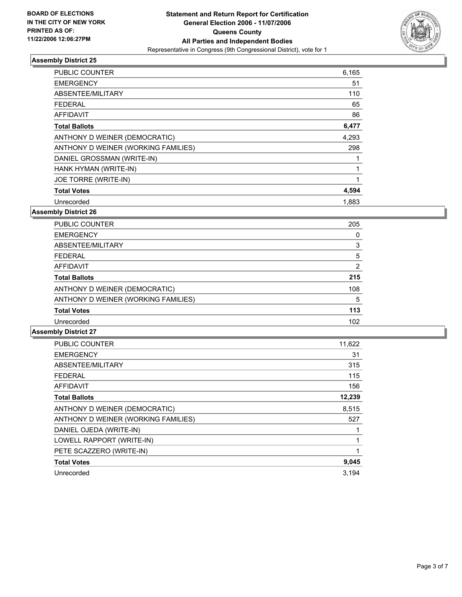

| PUBLIC COUNTER                      | 6,165 |
|-------------------------------------|-------|
| <b>EMERGENCY</b>                    | 51    |
| ABSENTEE/MILITARY                   | 110   |
| <b>FEDERAL</b>                      | 65    |
| AFFIDAVIT                           | 86    |
| <b>Total Ballots</b>                | 6,477 |
| ANTHONY D WEINER (DEMOCRATIC)       | 4,293 |
| ANTHONY D WEINER (WORKING FAMILIES) | 298   |
| DANIEL GROSSMAN (WRITE-IN)          |       |
| HANK HYMAN (WRITE-IN)               |       |
| JOE TORRE (WRITE-IN)                |       |
| <b>Total Votes</b>                  | 4,594 |
| Unrecorded                          | 1,883 |

### **Assembly District 26**

| <b>PUBLIC COUNTER</b>               | 205 |  |
|-------------------------------------|-----|--|
| <b>EMERGENCY</b>                    |     |  |
| ABSENTEE/MILITARY                   |     |  |
| <b>FEDERAL</b>                      | 5   |  |
| <b>AFFIDAVIT</b>                    |     |  |
| <b>Total Ballots</b>                | 215 |  |
| ANTHONY D WEINER (DEMOCRATIC)       | 108 |  |
| ANTHONY D WEINER (WORKING FAMILIES) | 5   |  |
| <b>Total Votes</b>                  | 113 |  |
| Unrecorded                          | 102 |  |

| <b>PUBLIC COUNTER</b>               | 11,622 |
|-------------------------------------|--------|
| <b>EMERGENCY</b>                    | 31     |
| ABSENTEE/MILITARY                   | 315    |
| <b>FEDERAL</b>                      | 115    |
| <b>AFFIDAVIT</b>                    | 156    |
| <b>Total Ballots</b>                | 12,239 |
| ANTHONY D WEINER (DEMOCRATIC)       | 8.515  |
| ANTHONY D WEINER (WORKING FAMILIES) | 527    |
| DANIEL OJEDA (WRITE-IN)             |        |
| LOWELL RAPPORT (WRITE-IN)           |        |
| PETE SCAZZERO (WRITE-IN)            |        |
| <b>Total Votes</b>                  | 9,045  |
| Unrecorded                          | 3.194  |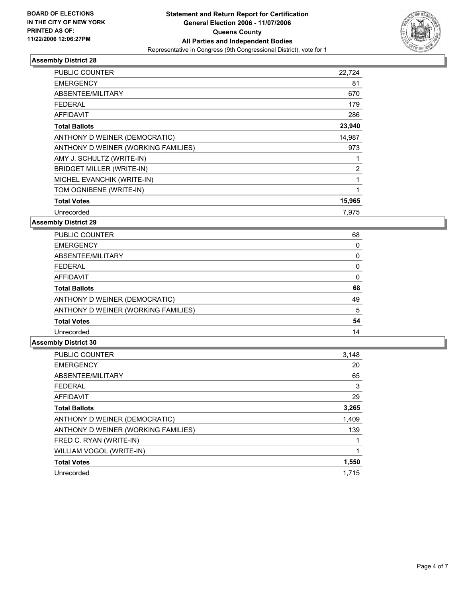

| PUBLIC COUNTER                      | 22,724 |
|-------------------------------------|--------|
| <b>EMERGENCY</b>                    | 81     |
| ABSENTEE/MILITARY                   | 670    |
| <b>FEDERAL</b>                      | 179    |
| <b>AFFIDAVIT</b>                    | 286    |
| <b>Total Ballots</b>                | 23,940 |
| ANTHONY D WEINER (DEMOCRATIC)       | 14,987 |
| ANTHONY D WEINER (WORKING FAMILIES) | 973    |
| AMY J. SCHULTZ (WRITE-IN)           |        |
| <b>BRIDGET MILLER (WRITE-IN)</b>    | 2      |
| MICHEL EVANCHIK (WRITE-IN)          |        |
| TOM OGNIBENE (WRITE-IN)             |        |
| <b>Total Votes</b>                  | 15,965 |
| Unrecorded                          | 7.975  |

**Assembly District 29**

| PUBLIC COUNTER                      | 68 |
|-------------------------------------|----|
| <b>EMERGENCY</b>                    |    |
| ABSENTEE/MILITARY                   |    |
| <b>FEDERAL</b>                      |    |
| <b>AFFIDAVIT</b>                    |    |
| <b>Total Ballots</b>                | 68 |
| ANTHONY D WEINER (DEMOCRATIC)       | 49 |
| ANTHONY D WEINER (WORKING FAMILIES) | 5  |
| <b>Total Votes</b>                  | 54 |
| Unrecorded                          | 14 |

| 3,148 |
|-------|
| 20    |
| 65    |
| 3     |
| 29    |
| 3,265 |
| 1,409 |
| 139   |
|       |
|       |
| 1,550 |
| 1.715 |
|       |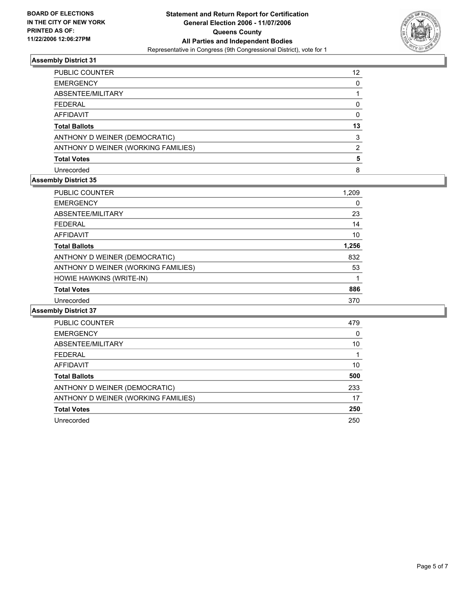

| PUBLIC COUNTER                      | 12 |
|-------------------------------------|----|
| <b>EMERGENCY</b>                    |    |
| ABSENTEE/MILITARY                   |    |
| <b>FEDERAL</b>                      |    |
| <b>AFFIDAVIT</b>                    |    |
| <b>Total Ballots</b>                | 13 |
| ANTHONY D WEINER (DEMOCRATIC)       |    |
| ANTHONY D WEINER (WORKING FAMILIES) |    |
| <b>Total Votes</b>                  |    |
| Unrecorded                          |    |

### **Assembly District 35**

| PUBLIC COUNTER                      | 1,209 |
|-------------------------------------|-------|
| <b>EMERGENCY</b>                    | 0     |
| ABSENTEE/MILITARY                   | 23    |
| <b>FEDERAL</b>                      | 14    |
| <b>AFFIDAVIT</b>                    | 10    |
| <b>Total Ballots</b>                | 1,256 |
| ANTHONY D WEINER (DEMOCRATIC)       | 832   |
| ANTHONY D WEINER (WORKING FAMILIES) | 53    |
| HOWIE HAWKINS (WRITE-IN)            |       |
| <b>Total Votes</b>                  | 886   |
| Unrecorded                          | 370   |

| PUBLIC COUNTER                      | 479 |
|-------------------------------------|-----|
| <b>EMERGENCY</b>                    |     |
| ABSENTEE/MILITARY                   | 10  |
| <b>FEDERAL</b>                      |     |
| AFFIDAVIT                           | 10  |
| <b>Total Ballots</b>                | 500 |
| ANTHONY D WEINER (DEMOCRATIC)       | 233 |
| ANTHONY D WEINER (WORKING FAMILIES) | 17  |
| <b>Total Votes</b>                  | 250 |
| Unrecorded                          | 250 |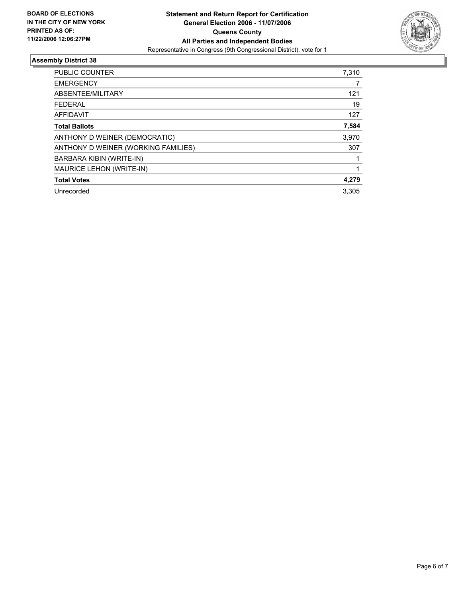

| <b>EMERGENCY</b><br>ABSENTEE/MILITARY<br>121<br>19<br><b>FEDERAL</b><br><b>AFFIDAVIT</b><br>127<br>7,584<br><b>Total Ballots</b><br>3,970<br>ANTHONY D WEINER (DEMOCRATIC) |
|----------------------------------------------------------------------------------------------------------------------------------------------------------------------------|
|                                                                                                                                                                            |
|                                                                                                                                                                            |
|                                                                                                                                                                            |
|                                                                                                                                                                            |
|                                                                                                                                                                            |
|                                                                                                                                                                            |
| ANTHONY D WEINER (WORKING FAMILIES)<br>307                                                                                                                                 |
| BARBARA KIBIN (WRITE-IN)                                                                                                                                                   |
| MAURICE LEHON (WRITE-IN)                                                                                                                                                   |
| <b>Total Votes</b><br>4,279                                                                                                                                                |
| 3.305<br>Unrecorded                                                                                                                                                        |